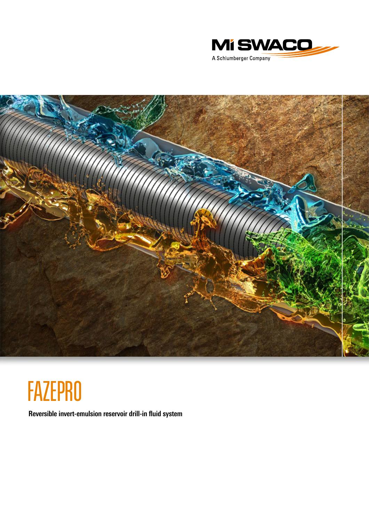



# **FAZEPRO**

**Reversible invert-emulsion reservoir drill-in fluid system**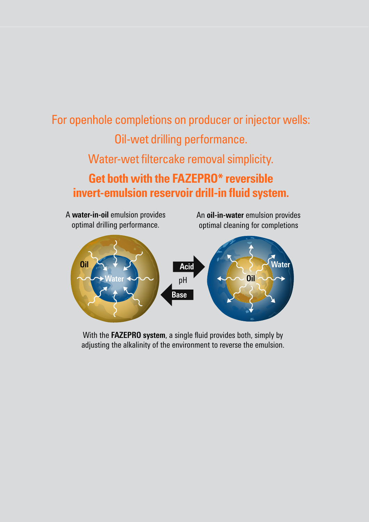## For openhole completions on producer or injector wells: Oil-wet drilling performance. Water-wet filtercake removal simplicity. **Get both with the FAZEPRO\* reversible invert-emulsion reservoir drill-in fluid system.**

An **oil-in-water** emulsion provides optimal cleaning for completions  $pH$   $\longleftarrow$   $Qn$ A **water-in-oil** emulsion provides optimal drilling performance. **Oil Water Mater Acid Acid Acid Acid Mater Water Acid Base**

With the **FAZEPRO system**, a single fluid provides both, simply by adjusting the alkalinity of the environment to reverse the emulsion.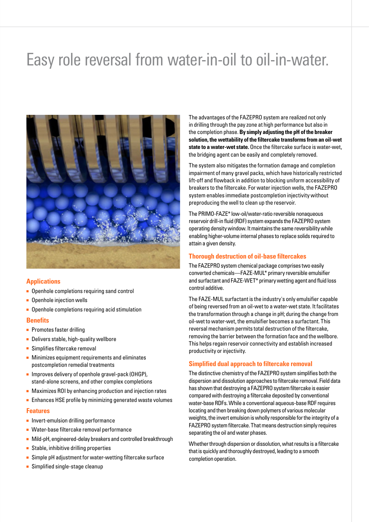## Easy role reversal from water-in-oil to oil-in-water.



### **Applications**

- Openhole completions requiring sand control
- Openhole injection wells
- Openhole completions requiring acid stimulation

### **Benefits**

- Promotes faster drilling
- Delivers stable, high-quality wellbore
- Simplifies filtercake removal
- Minimizes equipment requirements and eliminates postcompletion remedial treatments
- Improves delivery of openhole gravel-pack (OHGP), stand-alone screens, and other complex completions
- Maximizes ROI by enhancing production and injection rates
- Enhances HSE profile by minimizing generated waste volumes

### **Features**

- Invert-emulsion drilling performance
- Water-base filtercake removal performance
- Mild-pH, engineered-delay breakers and controlled breakthrough
- Stable, inhibitive drilling properties
- Simple pH adjustment for water-wetting filtercake surface
- Simplified single-stage cleanup

The advantages of the FAZEPRO system are realized not only in drilling through the pay zone at high performance but also in the completion phase. **By simply adjusting the pH of the breaker solution, the wettability of the filtercake transforms from an oil-wet state to a water-wet state.** Once the filtercake surface is water-wet, the bridging agent can be easily and completely removed.

The system also mitigates the formation damage and completion impairment of many gravel packs, which have historically restricted lift-off and flowback in addition to blocking uniform accessibility of breakers to the filtercake. For water injection wells, the FAZEPRO system enables immediate postcompletion injectivity without preproducing the well to clean up the reservoir.

The PRIMO-FAZE\* low-oil/water-ratio reversible nonaqueous reservoir drill-in fluid (RDF) system expands the FAZEPRO system operating density window. It maintains the same reversibility while enabling higher-volume internal phases to replace solids required to attain a given density.

### **Thorough destruction of oil-base filtercakes**

The FAZEPRO system chemical package comprises two easily converted chemicals—FAZE-MUL\* primary reversible emulsifier and surfactant and FAZE-WET\* primary wetting agent and fluid loss control additive.

The FAZE-MUL surfactant is the industry's only emulsifier capable of being reversed from an oil-wet to a water-wet state. It facilitates the transformation through a change in pH; during the change from oil-wet to water-wet, the emulsifier becomes a surfactant. This reversal mechanism permits total destruction of the filtercake, removing the barrier between the formation face and the wellbore. This helps regain reservoir connectivity and establish increased productivity or injectivity.

### **Simplified dual approach to filtercake removal**

The distinctive chemistry of the FAZEPRO system simplifies both the dispersion and dissolution approaches to filtercake removal. Field data has shown that destroying a FAZEPRO system filtercake is easier compared with destroying a filtercake deposited by conventional water-base RDFs. While a conventional aqueous-base RDF requires locating and then breaking down polymers of various molecular weights, the invert emulsion is wholly responsible for the integrity of a FAZEPRO system filtercake. That means destruction simply requires separating the oil and water phases.

Whether through dispersion or dissolution, what results is a filtercake that is quickly and thoroughly destroyed, leading to a smooth completion operation.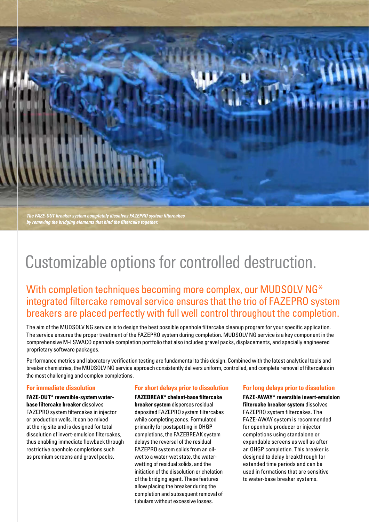*The FAZE-OUT breaker system completely dissolves FAZEPRO system filtercakes by removing the bridging elements that bind the filtercake together.*

## Customizable options for controlled destruction.

With completion techniques becoming more complex, our MUDSOLV NG\* integrated filtercake removal service ensures that the trio of FAZEPRO system breakers are placed perfectly with full well control throughout the completion.

The aim of the MUDSOLV NG service is to design the best possible openhole filtercake cleanup program for your specific application. The service ensures the proper treatment of the FAZEPRO system during completion. MUDSOLV NG service is a key component in the comprehensive M-I SWACO openhole completion portfolio that also includes gravel packs, displacements, and specially engineered proprietary software packages.

Performance metrics and laboratory verification testing are fundamental to this design. Combined with the latest analytical tools and breaker chemistries, the MUDSOLV NG service approach consistently delivers uniform, controlled, and complete removal of filtercakes in the most challenging and complex completions.

### **For immediate dissolution**

**FAZE-OUT\* reversible-system waterbase filtercake breaker** dissolves FAZEPRO system filtercakes in injector or production wells. It can be mixed at the rig site and is designed for total dissolution of invert-emulsion filtercakes, thus enabling immediate flowback through restrictive openhole completions such as premium screens and gravel packs.

### **For short delays prior to dissolution**

**FAZEBREAK\* chelant-base filtercake breaker system** disperses residual deposited FAZEPRO system filtercakes while completing zones. Formulated primarily for postspotting in OHGP completions, the FAZEBREAK system delays the reversal of the residual FAZEPRO system solids from an oilwet to a water-wet state, the waterwetting of residual solids, and the initiation of the dissolution or chelation of the bridging agent. These features allow placing the breaker during the completion and subsequent removal of tubulars without excessive losses.

### **For long delays prior to dissolution**

**FAZE-AWAY\* reversible invert-emulsion filtercake breaker system** dissolves FAZEPRO system filtercakes. The FAZE-AWAY system is recommended for openhole producer or injector completions using standalone or expandable screens as well as after an OHGP completion. This breaker is designed to delay breakthrough for extended time periods and can be used in formations that are sensitive to water-base breaker systems.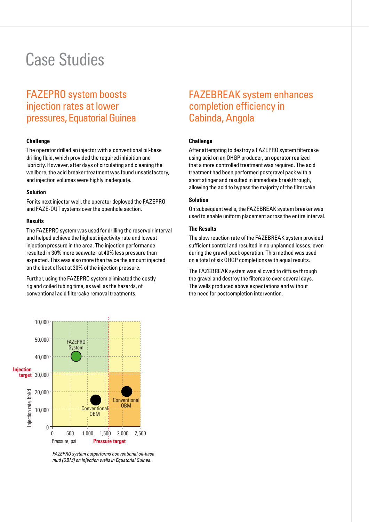## Case Studies

### FAZEPRO system boosts injection rates at lower pressures, Equatorial Guinea

### **Challenge**

The operator drilled an injector with a conventional oil-base drilling fluid, which provided the required inhibition and lubricity. However, after days of circulating and cleaning the wellbore, the acid breaker treatment was found unsatisfactory, and injection volumes were highly inadequate.

#### **Solution**

For its next injector well, the operator deployed the FAZEPRO and FAZE-OUT systems over the openhole section.

#### **Results**

The FAZEPRO system was used for drilling the reservoir interval and helped achieve the highest injectivity rate and lowest injection pressure in the area. The injection performance resulted in 30% more seawater at 40% less pressure than expected. This was also more than twice the amount injected on the best offset at 30% of the injection pressure.

Further, using the FAZEPRO system eliminated the costly rig and coiled tubing time, as well as the hazards, of conventional acid filtercake removal treatments.

## FAZEBREAK system enhances completion efficiency in Cabinda, Angola

### **Challenge**

After attempting to destroy a FAZEPRO system filtercake using acid on an OHGP producer, an operator realized that a more controlled treatment was required. The acid treatment had been performed postgravel pack with a short stinger and resulted in immediate breakthrough, allowing the acid to bypass the majority of the filtercake.

### **Solution**

On subsequent wells, the FAZEBREAK system breaker was used to enable uniform placement across the entire interval.

### **The Results**

The slow reaction rate of the FAZEBREAK system provided sufficient control and resulted in no unplanned losses, even during the gravel-pack operation. This method was used on a total of six OHGP completions with equal results.

The FAZEBREAK system was allowed to diffuse through the gravel and destroy the filtercake over several days. The wells produced above expectations and without the need for postcompletion intervention.



*FAZEPRO system outperforms conventional oil-base mud (OBM) on injection wells in Equatorial Guinea.*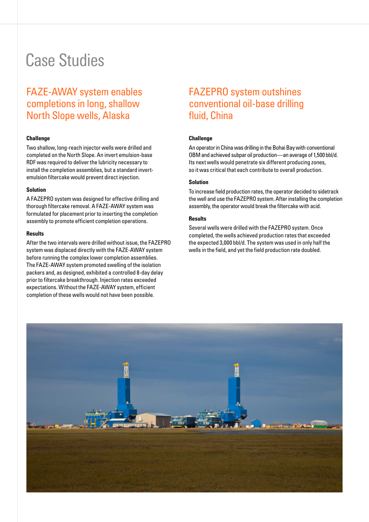## Case Studies

## FAZE-AWAY system enables completions in long, shallow North Slope wells, Alaska

### **Challenge**

Two shallow, long-reach injector wells were drilled and completed on the North Slope. An invert emulsion-base RDF was required to deliver the lubricity necessary to install the completion assemblies, but a standard invertemulsion filtercake would prevent direct injection.

#### **Solution**

A FAZEPRO system was designed for effective drilling and thorough filtercake removal. A FAZE-AWAY system was formulated for placement prior to inserting the completion assembly to promote efficient completion operations.

### **Results**

After the two intervals were drilled without issue, the FAZEPRO system was displaced directly with the FAZE-AWAY system before running the complex lower completion assemblies. The FAZE-AWAY system promoted swelling of the isolation packers and, as designed, exhibited a controlled 8-day delay prior to filtercake breakthrough. Injection rates exceeded expectations. Without the FAZE-AWAY system, efficient completion of these wells would not have been possible.

### FAZEPRO system outshines conventional oil-base drilling fluid, China

### **Challenge**

An operator in China was drilling in the Bohai Bay with conventional OBM and achieved subpar oil production—an average of 1,500 bbl/d. Its next wells would penetrate six different producing zones, so it was critical that each contribute to overall production.

### **Solution**

To increase field production rates, the operator decided to sidetrack the well and use the FAZEPRO system. After installing the completion assembly, the operator would break the filtercake with acid.

### **Results**

Several wells were drilled with the FAZEPRO system. Once completed, the wells achieved production rates that exceeded the expected 3,000 bbl/d. The system was used in only half the wells in the field, and yet the field production rate doubled.

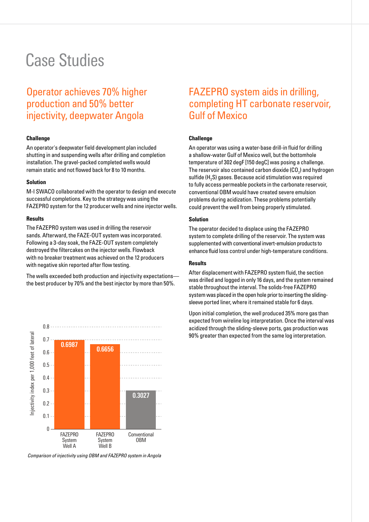## Case Studies

### Operator achieves 70% higher production and 50% better injectivity, deepwater Angola

### **Challenge**

An operator's deepwater field development plan included shutting in and suspending wells after drilling and completion installation. The gravel-packed completed wells would remain static and not flowed back for 8 to 10 months.

#### **Solution**

M-I SWACO collaborated with the operator to design and execute successful completions. Key to the strategy was using the FAZEPRO system for the 12 producer wells and nine injector wells.

#### **Results**

The FAZEPRO system was used in drilling the reservoir sands. Afterward, the FAZE-OUT system was incorporated. Following a 3-day soak, the FAZE-OUT system completely destroyed the filtercakes on the injector wells. Flowback with no breaker treatment was achieved on the 12 producers with negative skin reported after flow testing.

The wells exceeded both production and injectivity expectations the best producer by 70% and the best injector by more than 50%.



*Comparison of injectivity using OBM and FAZEPRO system in Angola*

### FAZEPRO system aids in drilling, completing HT carbonate reservoir, Gulf of Mexico

### **Challenge**

An operator was using a water-base drill-in fluid for drilling a shallow-water Gulf of Mexico well, but the bottomhole temperature of 302 degF [150 degC] was posing a challenge. The reservoir also contained carbon dioxide (CO<sub>2</sub>) and hydrogen sulfide (H<sub>2</sub>S) gases. Because acid stimulation was required to fully access permeable pockets in the carbonate reservoir, conventional OBM would have created severe emulsion problems during acidization. These problems potentially could prevent the well from being properly stimulated.

#### **Solution**

The operator decided to displace using the FAZEPRO system to complete drilling of the reservoir. The system was supplemented with conventional invert-emulsion products to enhance fluid loss control under high-temperature conditions.

### **Results**

After displacement with FAZEPRO system fluid, the section was drilled and logged in only 16 days, and the system remained stable throughout the interval. The solids-free FAZEPRO system was placed in the open hole prior to inserting the slidingsleeve ported liner, where it remained stable for 6 days.

Upon initial completion, the well produced 35% more gas than expected from wireline log interpretation. Once the interval was acidized through the sliding-sleeve ports, gas production was 90% greater than expected from the same log interpretation.